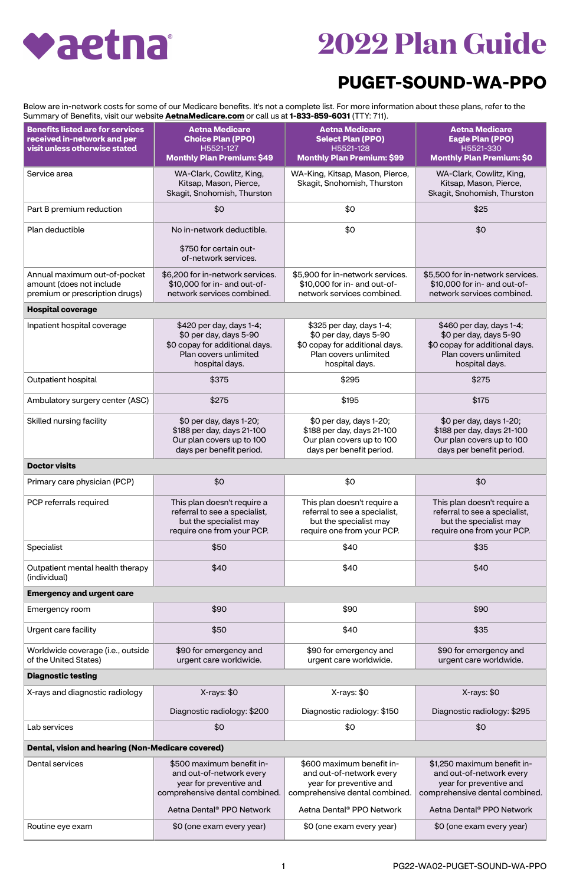## vaetna

## **2022 Plan Guide**

## **PUGET-SOUND-WA-PPO**

Below are in-network costs for some of our Medicare benefits. It's not a complete list. For more information about these plans, refer to the Summary of Benefits, visit our website **[AetnaMedicare.com](http://AetnaMedicare.com)** or call us at **1-833-859-6031** (TTY: 711).

| <b>Benefits listed are for services</b><br>received in-network and per<br>visit unless otherwise stated | <b>Aetna Medicare</b><br><b>Choice Plan (PPO)</b><br>H5521-127<br><b>Monthly Plan Premium: \$49</b>                             | <b>Aetna Medicare</b><br><b>Select Plan (PPO)</b><br>H5521-128<br><b>Monthly Plan Premium: \$99</b>                             | <b>Aetna Medicare</b><br><b>Eagle Plan (PPO)</b><br>H5521-330<br><b>Monthly Plan Premium: \$0</b>                               |
|---------------------------------------------------------------------------------------------------------|---------------------------------------------------------------------------------------------------------------------------------|---------------------------------------------------------------------------------------------------------------------------------|---------------------------------------------------------------------------------------------------------------------------------|
| Service area                                                                                            | WA-Clark, Cowlitz, King,<br>Kitsap, Mason, Pierce,<br>Skagit, Snohomish, Thurston                                               | WA-King, Kitsap, Mason, Pierce,<br>Skagit, Snohomish, Thurston                                                                  | WA-Clark, Cowlitz, King,<br>Kitsap, Mason, Pierce,<br>Skagit, Snohomish, Thurston                                               |
| Part B premium reduction                                                                                | \$0                                                                                                                             | \$0                                                                                                                             | \$25                                                                                                                            |
| Plan deductible                                                                                         | No in-network deductible.                                                                                                       | \$0                                                                                                                             | \$0                                                                                                                             |
|                                                                                                         | \$750 for certain out-<br>of-network services.                                                                                  |                                                                                                                                 |                                                                                                                                 |
| Annual maximum out-of-pocket<br>amount (does not include<br>premium or prescription drugs)              | \$6,200 for in-network services.<br>\$10,000 for in- and out-of-<br>network services combined.                                  | \$5,900 for in-network services.<br>\$10,000 for in- and out-of-<br>network services combined.                                  | \$5,500 for in-network services.<br>\$10,000 for in- and out-of-<br>network services combined.                                  |
| <b>Hospital coverage</b>                                                                                |                                                                                                                                 |                                                                                                                                 |                                                                                                                                 |
| Inpatient hospital coverage                                                                             | \$420 per day, days 1-4;<br>\$0 per day, days 5-90<br>\$0 copay for additional days.<br>Plan covers unlimited<br>hospital days. | \$325 per day, days 1-4;<br>\$0 per day, days 5-90<br>\$0 copay for additional days.<br>Plan covers unlimited<br>hospital days. | \$460 per day, days 1-4;<br>\$0 per day, days 5-90<br>\$0 copay for additional days.<br>Plan covers unlimited<br>hospital days. |
| Outpatient hospital                                                                                     | \$375                                                                                                                           | \$295                                                                                                                           | \$275                                                                                                                           |
| Ambulatory surgery center (ASC)                                                                         | \$275                                                                                                                           | \$195                                                                                                                           | \$175                                                                                                                           |
| Skilled nursing facility                                                                                | \$0 per day, days 1-20;<br>\$188 per day, days 21-100<br>Our plan covers up to 100<br>days per benefit period.                  | \$0 per day, days 1-20;<br>\$188 per day, days 21-100<br>Our plan covers up to 100<br>days per benefit period.                  | \$0 per day, days 1-20;<br>\$188 per day, days 21-100<br>Our plan covers up to 100<br>days per benefit period.                  |
| <b>Doctor visits</b>                                                                                    |                                                                                                                                 |                                                                                                                                 |                                                                                                                                 |
| Primary care physician (PCP)                                                                            | \$0                                                                                                                             | \$0                                                                                                                             | \$0                                                                                                                             |
| PCP referrals required                                                                                  | This plan doesn't require a<br>referral to see a specialist,<br>but the specialist may<br>require one from your PCP.            | This plan doesn't require a<br>referral to see a specialist,<br>but the specialist may<br>require one from your PCP.            | This plan doesn't require a<br>referral to see a specialist,<br>but the specialist may<br>require one from your PCP.            |
| Specialist                                                                                              | \$50                                                                                                                            | \$40                                                                                                                            | \$35                                                                                                                            |
| Outpatient mental health therapy<br>(individual)                                                        | \$40                                                                                                                            | \$40                                                                                                                            | \$40                                                                                                                            |
| <b>Emergency and urgent care</b>                                                                        |                                                                                                                                 |                                                                                                                                 |                                                                                                                                 |
| Emergency room                                                                                          | \$90                                                                                                                            | \$90                                                                                                                            | \$90                                                                                                                            |
| <b>Urgent care facility</b>                                                                             | \$50                                                                                                                            | \$40                                                                                                                            | \$35                                                                                                                            |
| Worldwide coverage (i.e., outside<br>of the United States)                                              | \$90 for emergency and<br>urgent care worldwide.                                                                                | \$90 for emergency and<br>urgent care worldwide.                                                                                | \$90 for emergency and<br>urgent care worldwide.                                                                                |
| <b>Diagnostic testing</b>                                                                               |                                                                                                                                 |                                                                                                                                 |                                                                                                                                 |
| X-rays and diagnostic radiology                                                                         | X-rays: \$0                                                                                                                     | X-rays: \$0                                                                                                                     | X-rays: \$0                                                                                                                     |
| Lab services                                                                                            | Diagnostic radiology: \$200<br>\$0                                                                                              | Diagnostic radiology: \$150<br>\$0                                                                                              | Diagnostic radiology: \$295<br>\$0                                                                                              |
|                                                                                                         |                                                                                                                                 |                                                                                                                                 |                                                                                                                                 |
| Dental, vision and hearing (Non-Medicare covered)                                                       |                                                                                                                                 |                                                                                                                                 |                                                                                                                                 |
| <b>Dental services</b>                                                                                  | \$500 maximum benefit in-<br>and out-of-network every<br>year for preventive and<br>comprehensive dental combined.              | \$600 maximum benefit in-<br>and out-of-network every<br>year for preventive and<br>comprehensive dental combined.              | \$1,250 maximum benefit in-<br>and out-of-network every<br>year for preventive and<br>comprehensive dental combined.            |
|                                                                                                         | Aetna Dental <sup>®</sup> PPO Network                                                                                           | Aetna Dental <sup>®</sup> PPO Network                                                                                           | Aetna Dental <sup>®</sup> PPO Network                                                                                           |
| Routine eye exam                                                                                        | \$0 (one exam every year)                                                                                                       | \$0 (one exam every year)                                                                                                       | \$0 (one exam every year)                                                                                                       |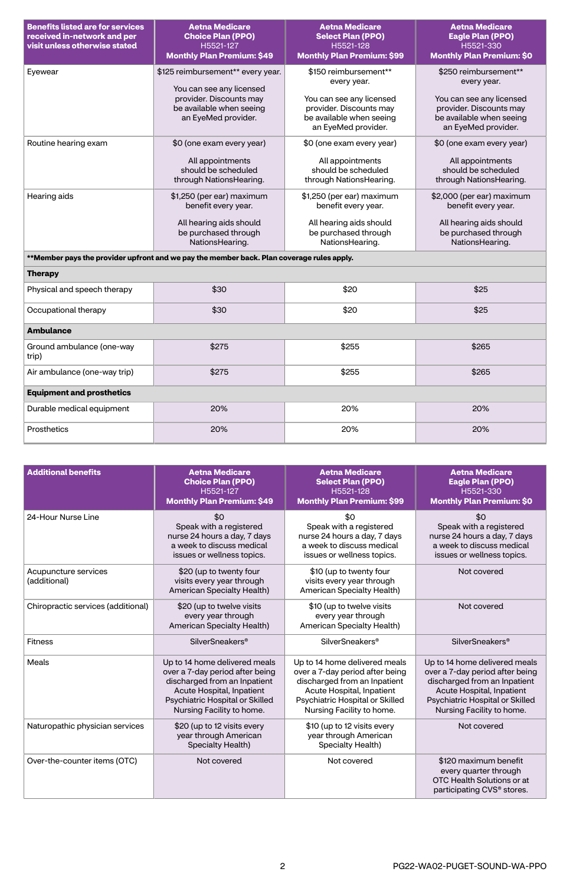| <b>Benefits listed are for services</b><br>received in-network and per<br>visit unless otherwise stated | <b>Aetna Medicare</b><br><b>Choice Plan (PPO)</b><br>H5521-127<br><b>Monthly Plan Premium: \$49</b> | <b>Aetna Medicare</b><br><b>Select Plan (PPO)</b><br>H5521-128<br><b>Monthly Plan Premium: \$99</b>    | <b>Aetna Medicare</b><br><b>Eagle Plan (PPO)</b><br>H5521-330<br><b>Monthly Plan Premium: \$0</b>      |
|---------------------------------------------------------------------------------------------------------|-----------------------------------------------------------------------------------------------------|--------------------------------------------------------------------------------------------------------|--------------------------------------------------------------------------------------------------------|
| Eyewear                                                                                                 | \$125 reimbursement** every year.<br>You can see any licensed                                       | \$150 reimbursement**<br>every year.                                                                   | \$250 reimbursement**<br>every year.                                                                   |
|                                                                                                         | provider. Discounts may<br>be available when seeing<br>an EyeMed provider.                          | You can see any licensed<br>provider. Discounts may<br>be available when seeing<br>an EyeMed provider. | You can see any licensed<br>provider. Discounts may<br>be available when seeing<br>an EyeMed provider. |
| Routine hearing exam                                                                                    | \$0 (one exam every year)                                                                           | \$0 (one exam every year)                                                                              | \$0 (one exam every year)                                                                              |
|                                                                                                         | All appointments<br>should be scheduled<br>through NationsHearing.                                  | All appointments<br>should be scheduled<br>through NationsHearing.                                     | All appointments<br>should be scheduled<br>through NationsHearing.                                     |
| Hearing aids                                                                                            | \$1,250 (per ear) maximum<br>benefit every year.                                                    | \$1,250 (per ear) maximum<br>benefit every year.                                                       | \$2,000 (per ear) maximum<br>benefit every year.                                                       |
|                                                                                                         | All hearing aids should<br>be purchased through<br>NationsHearing.                                  | All hearing aids should<br>be purchased through<br>NationsHearing.                                     | All hearing aids should<br>be purchased through<br>NationsHearing.                                     |
| **Member pays the provider upfront and we pay the member back. Plan coverage rules apply.               |                                                                                                     |                                                                                                        |                                                                                                        |
| <b>Therapy</b>                                                                                          |                                                                                                     |                                                                                                        |                                                                                                        |
| Physical and speech therapy                                                                             | \$30                                                                                                | \$20                                                                                                   | \$25                                                                                                   |
| Occupational therapy                                                                                    | \$30                                                                                                | \$20                                                                                                   | \$25                                                                                                   |
| <b>Ambulance</b>                                                                                        |                                                                                                     |                                                                                                        |                                                                                                        |
| Ground ambulance (one-way<br>trip)                                                                      | \$275                                                                                               | \$255                                                                                                  | \$265                                                                                                  |
| Air ambulance (one-way trip)                                                                            | \$275                                                                                               | \$255                                                                                                  | \$265                                                                                                  |
| <b>Equipment and prosthetics</b>                                                                        |                                                                                                     |                                                                                                        |                                                                                                        |
| Durable medical equipment                                                                               | 20%                                                                                                 | 20%                                                                                                    | 20%                                                                                                    |
| <b>Prosthetics</b>                                                                                      | 20%                                                                                                 | 20%                                                                                                    | 20%                                                                                                    |

| <b>Additional benefits</b>           | <b>Aetna Medicare</b><br><b>Choice Plan (PPO)</b><br>H5521-127<br><b>Monthly Plan Premium: \$49</b>                                                                                           | <b>Aetna Medicare</b><br><b>Select Plan (PPO)</b><br>H5521-128<br><b>Monthly Plan Premium: \$99</b>                                                                                           | <b>Aetna Medicare</b><br><b>Eagle Plan (PPO)</b><br>H5521-330<br><b>Monthly Plan Premium: \$0</b>                                                                                             |
|--------------------------------------|-----------------------------------------------------------------------------------------------------------------------------------------------------------------------------------------------|-----------------------------------------------------------------------------------------------------------------------------------------------------------------------------------------------|-----------------------------------------------------------------------------------------------------------------------------------------------------------------------------------------------|
| 24-Hour Nurse Line                   | \$0<br>Speak with a registered<br>nurse 24 hours a day, 7 days<br>a week to discuss medical<br>issues or wellness topics.                                                                     | \$0<br>Speak with a registered<br>nurse 24 hours a day, 7 days<br>a week to discuss medical<br>issues or wellness topics.                                                                     | \$0<br>Speak with a registered<br>nurse 24 hours a day, 7 days<br>a week to discuss medical<br>issues or wellness topics.                                                                     |
| Acupuncture services<br>(additional) | \$20 (up to twenty four<br>visits every year through<br><b>American Specialty Health)</b>                                                                                                     | \$10 (up to twenty four<br>visits every year through<br><b>American Specialty Health)</b>                                                                                                     | Not covered                                                                                                                                                                                   |
| Chiropractic services (additional)   | \$20 (up to twelve visits<br>every year through<br><b>American Specialty Health)</b>                                                                                                          | \$10 (up to twelve visits<br>every year through<br><b>American Specialty Health)</b>                                                                                                          | Not covered                                                                                                                                                                                   |
| <b>Fitness</b>                       | <b>SilverSneakers<sup>®</sup></b>                                                                                                                                                             | <b>SilverSneakers<sup>®</sup></b>                                                                                                                                                             | <b>SilverSneakers<sup>®</sup></b>                                                                                                                                                             |
| <b>Meals</b>                         | Up to 14 home delivered meals<br>over a 7-day period after being<br>discharged from an Inpatient<br>Acute Hospital, Inpatient<br>Psychiatric Hospital or Skilled<br>Nursing Facility to home. | Up to 14 home delivered meals<br>over a 7-day period after being<br>discharged from an Inpatient<br>Acute Hospital, Inpatient<br>Psychiatric Hospital or Skilled<br>Nursing Facility to home. | Up to 14 home delivered meals<br>over a 7-day period after being<br>discharged from an Inpatient<br>Acute Hospital, Inpatient<br>Psychiatric Hospital or Skilled<br>Nursing Facility to home. |
| Naturopathic physician services      | \$20 (up to 12 visits every<br>year through American<br><b>Specialty Health)</b>                                                                                                              | \$10 (up to 12 visits every<br>year through American<br>Specialty Health)                                                                                                                     | Not covered                                                                                                                                                                                   |
| Over-the-counter items (OTC)         | Not covered                                                                                                                                                                                   | Not covered                                                                                                                                                                                   | \$120 maximum benefit<br>every quarter through<br>OTC Health Solutions or at<br>participating CVS <sup>®</sup> stores.                                                                        |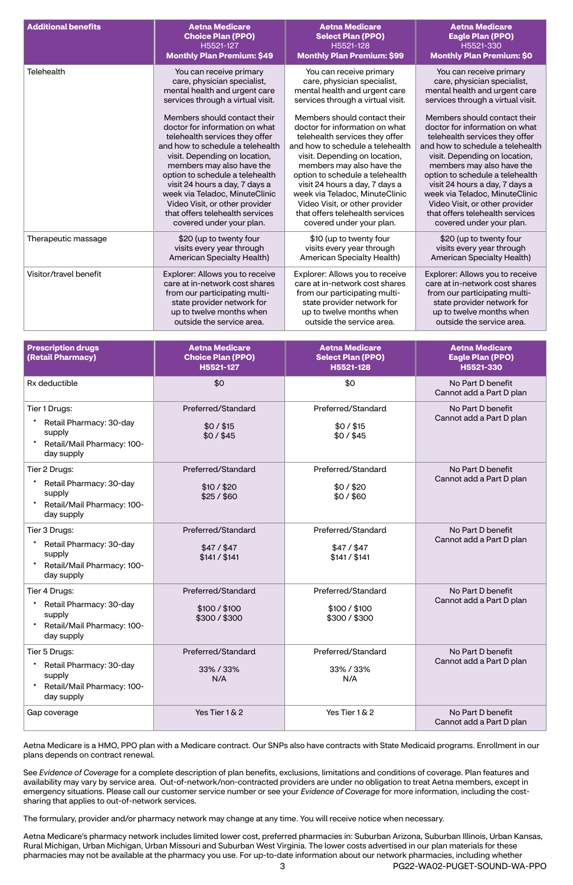| <b>Additional benefits</b> | <b>Aetna Medicare</b>             | <b>Aetna Medicare</b>             | <b>Aetna Medicare</b>             |
|----------------------------|-----------------------------------|-----------------------------------|-----------------------------------|
|                            | <b>Choice Plan (PPO)</b>          | <b>Select Plan (PPO)</b>          | <b>Eagle Plan (PPO)</b>           |
|                            | H5521-127                         | H5521-128                         | H5521-330                         |
|                            | <b>Monthly Plan Premium: \$49</b> | <b>Monthly Plan Premium: \$99</b> | <b>Monthly Plan Premium: \$0</b>  |
| <b>Telehealth</b>          | You can receive primary           | You can receive primary           | You can receive primary           |
|                            | care, physician specialist,       | care, physician specialist,       | care, physician specialist,       |
|                            | mental health and urgent care     | mental health and urgent care     | mental health and urgent care     |
|                            | services through a virtual visit. | services through a virtual visit. | services through a virtual visit. |
|                            | Members should contact their      | Members should contact their      | Members should contact their      |
|                            | doctor for information on what    | doctor for information on what    | doctor for information on what    |
|                            | telehealth services they offer    | telehealth services they offer    | telehealth services they offer    |
|                            | and how to schedule a telehealth  | and how to schedule a telehealth  | and how to schedule a telehealth  |
|                            | visit. Depending on location,     | visit. Depending on location,     | visit. Depending on location,     |
|                            | members may also have the         | members may also have the         | members may also have the         |
|                            | option to schedule a telehealth   | option to schedule a telehealth   | option to schedule a telehealth   |
|                            | visit 24 hours a day, 7 days a    | visit 24 hours a day, 7 days a    | visit 24 hours a day, 7 days a    |
|                            | week via Teladoc, MinuteClinic    | week via Teladoc, MinuteClinic    | week via Teladoc, MinuteClinic    |
|                            | Video Visit, or other provider    | Video Visit, or other provider    | Video Visit, or other provider    |
|                            | that offers telehealth services   | that offers telehealth services   | that offers telehealth services   |
|                            | covered under your plan.          | covered under your plan.          | covered under your plan.          |
| Therapeutic massage        | \$20 (up to twenty four           | \$10 (up to twenty four           | \$20 (up to twenty four           |
|                            | visits every year through         | visits every year through         | visits every year through         |
|                            | <b>American Specialty Health)</b> | <b>American Specialty Health)</b> | <b>American Specialty Health)</b> |
| Visitor/travel benefit     | Explorer: Allows you to receive   | Explorer: Allows you to receive   | Explorer: Allows you to receive   |
|                            | care at in-network cost shares    | care at in-network cost shares    | care at in-network cost shares    |
|                            | from our participating multi-     | from our participating multi-     | from our participating multi-     |
|                            | state provider network for        | state provider network for        | state provider network for        |
|                            | up to twelve months when          | up to twelve months when          | up to twelve months when          |
|                            | outside the service area.         | outside the service area.         | outside the service area.         |

| <b>Prescription drugs</b><br>(Retail Pharmacy)                                                   | <b>Aetna Medicare</b><br><b>Choice Plan (PPO)</b><br>H5521-127 | <b>Aetna Medicare</b><br><b>Select Plan (PPO)</b><br>H5521-128 | <b>Aetna Medicare</b><br><b>Eagle Plan (PPO)</b><br>H5521-330 |
|--------------------------------------------------------------------------------------------------|----------------------------------------------------------------|----------------------------------------------------------------|---------------------------------------------------------------|
| Rx deductible                                                                                    | \$0                                                            | \$0                                                            | No Part D benefit<br>Cannot add a Part D plan                 |
| Tier 1 Drugs:<br>Retail Pharmacy: 30-day<br>supply<br>Retail/Mail Pharmacy: 100-<br>day supply   | Preferred/Standard<br>$$0/$ \$15<br>\$0/\$45                   | Preferred/Standard<br>$$0/$ \$15<br>\$0/\$45                   | No Part D benefit<br>Cannot add a Part D plan                 |
| Tier 2 Drugs:<br>Retail Pharmacy: 30-day<br>supply<br>Retail/Mail Pharmacy: 100-<br>day supply   | Preferred/Standard<br>\$10 / \$20<br>\$25/\$60                 | Preferred/Standard<br>\$0/\$20<br>\$0/\$60                     | No Part D benefit<br>Cannot add a Part D plan                 |
| Tier 3 Drugs:<br>Retail Pharmacy: 30-day<br>supply<br>Retail/Mail Pharmacy: 100-<br>day supply   | Preferred/Standard<br>$$47/$ \$47<br>\$141 / \$141             | Preferred/Standard<br>$$47/$ \$47<br>\$141 / \$141             | No Part D benefit<br>Cannot add a Part D plan                 |
| Tier 4 Drugs:<br>Retail Pharmacy: 30-day<br>supply<br>Retail/Mail Pharmacy: 100-<br>day supply   | Preferred/Standard<br>\$100 / \$100<br>\$300/\$300             | Preferred/Standard<br>\$100 / \$100<br>\$300/\$300             | No Part D benefit<br>Cannot add a Part D plan                 |
| Tier 5 Drugs:<br>* Retail Pharmacy: 30-day<br>supply<br>Retail/Mail Pharmacy: 100-<br>day supply | Preferred/Standard<br>33% / 33%<br>N/A                         | Preferred/Standard<br>33% / 33%<br>N/A                         | No Part D benefit<br>Cannot add a Part D plan                 |
| Gap coverage                                                                                     | Yes Tier 1 & 2                                                 | Yes Tier 1 & 2                                                 | No Part D benefit<br>Cannot add a Part D plan                 |

Aetna Medicare is a HMO, PPO plan with a Medicare contract. Our SNPs also have contracts with State Medicaid programs. Enrollment in our plans depends on contract renewal.

See *Evidence of Coverage* for a complete description of plan benefits, exclusions, limitations and conditions of coverage. Plan features and availability may vary by service area. Out-of-network/non-contracted providers are under no obligation to treat Aetna members, except in emergency situations. Please call our customer service number or see your *Evidence of Coverage* for more information, including the costsharing that applies to out-of-network services.

The formulary, provider and/or pharmacy network may change at any time. You will receive notice when necessary.

Aetna Medicare's pharmacy network includes limited lower cost, preferred pharmacies in: Suburban Arizona, Suburban Illinois, Urban Kansas, Rural Michigan, Urban Michigan, Urban Missouri and Suburban West Virginia. The lower costs advertised in our plan materials for these pharmacies may not be available at the pharmacy you use. For up-to-date information about our network pharmacies, including whether